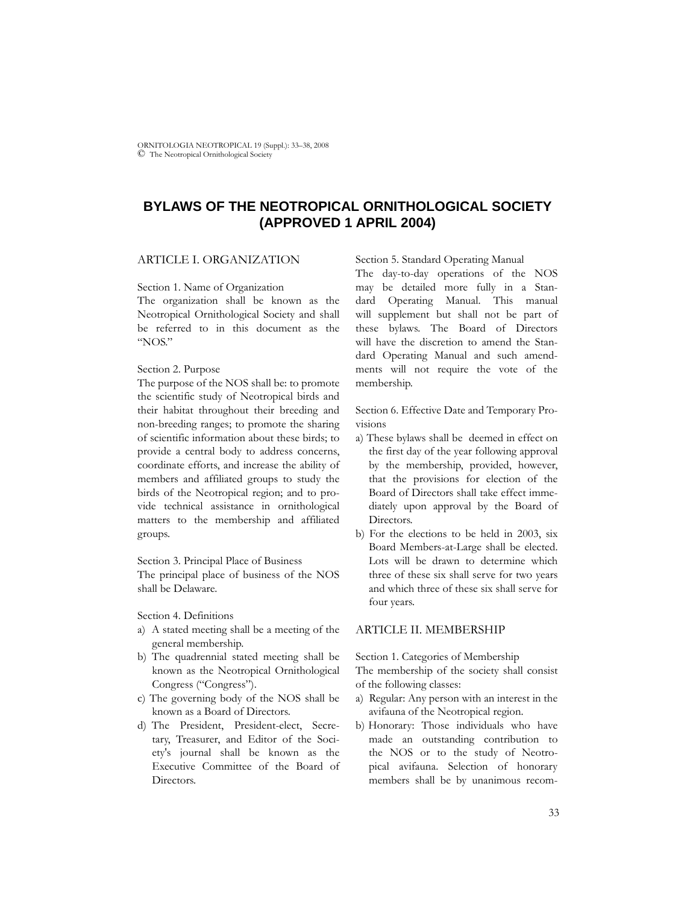ORNITOLOGIA NEOTROPICAL 19 (Suppl.): 33–38, 2008 © The Neotropical Ornithological Society

# **BYLAWS OF THE NEOTROPICAL ORNITHOLOGICAL SOCIETY (APPROVED 1 APRIL 2004)**

### ARTICLE I. ORGANIZATION

Section 1. Name of Organization

The organization shall be known as the Neotropical Ornithological Society and shall be referred to in this document as the "NOS."

#### Section 2. Purpose

The purpose of the NOS shall be: to promote the scientific study of Neotropical birds and their habitat throughout their breeding and non-breeding ranges; to promote the sharing of scientific information about these birds; to provide a central body to address concerns, coordinate efforts, and increase the ability of members and affiliated groups to study the birds of the Neotropical region; and to provide technical assistance in ornithological matters to the membership and affiliated groups.

Section 3. Principal Place of Business The principal place of business of the NOS shall be Delaware.

Section 4. Definitions

- a) A stated meeting shall be a meeting of the general membership.
- b) The quadrennial stated meeting shall be known as the Neotropical Ornithological Congress ("Congress").
- c) The governing body of the NOS shall be known as a Board of Directors.
- d) The President, President-elect, Secretary, Treasurer, and Editor of the Society's journal shall be known as the Executive Committee of the Board of Directors.

Section 5. Standard Operating Manual

The day-to-day operations of the NOS may be detailed more fully in a Standard Operating Manual. This manual will supplement but shall not be part of these bylaws. The Board of Directors will have the discretion to amend the Standard Operating Manual and such amendments will not require the vote of the membership.

Section 6. Effective Date and Temporary Provisions

- a) These bylaws shall be deemed in effect on the first day of the year following approval by the membership, provided, however, that the provisions for election of the Board of Directors shall take effect immediately upon approval by the Board of Directors.
- b) For the elections to be held in 2003, six Board Members-at-Large shall be elected. Lots will be drawn to determine which three of these six shall serve for two years and which three of these six shall serve for four years.

#### ARTICLE II. MEMBERSHIP

Section 1. Categories of Membership

The membership of the society shall consist of the following classes:

- a) Regular: Any person with an interest in the avifauna of the Neotropical region.
- b) Honorary: Those individuals who have made an outstanding contribution to the NOS or to the study of Neotropical avifauna. Selection of honorary members shall be by unanimous recom-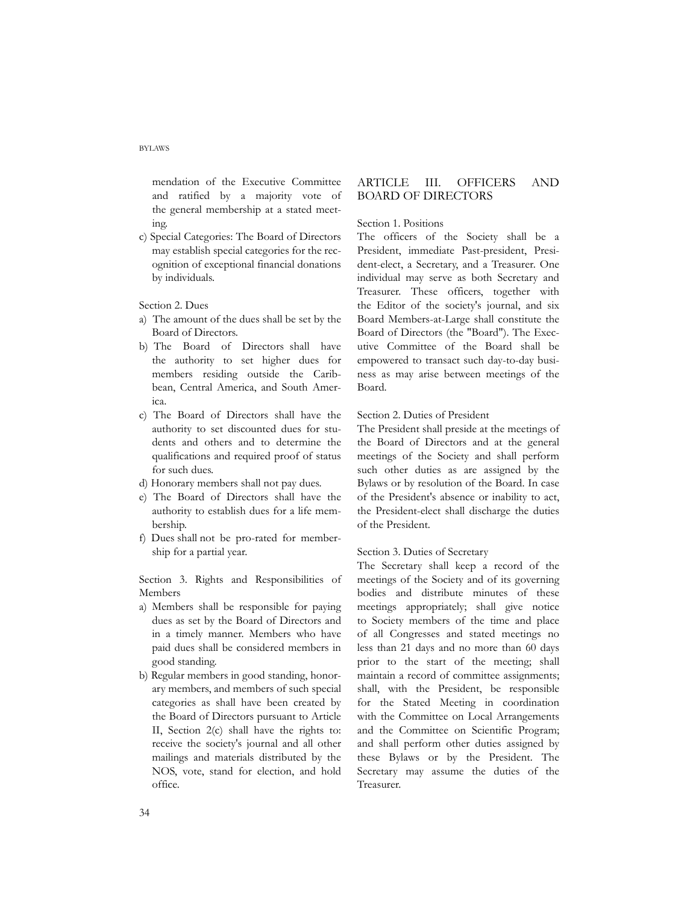mendation of the Executive Committee and ratified by a majority vote of the general membership at a stated meeting.

c) Special Categories: The Board of Directors may establish special categories for the recognition of exceptional financial donations by individuals.

Section 2. Dues

- a) The amount of the dues shall be set by the Board of Directors.
- b) The Board of Directors shall have the authority to set higher dues for members residing outside the Caribbean, Central America, and South America.
- c) The Board of Directors shall have the authority to set discounted dues for students and others and to determine the qualifications and required proof of status for such dues.
- d) Honorary members shall not pay dues.
- e) The Board of Directors shall have the authority to establish dues for a life membership.
- f) Dues shall not be pro-rated for membership for a partial year.

Section 3. Rights and Responsibilities of Members

- a) Members shall be responsible for paying dues as set by the Board of Directors and in a timely manner. Members who have paid dues shall be considered members in good standing.
- b) Regular members in good standing, honorary members, and members of such special categories as shall have been created by the Board of Directors pursuant to Article II, Section 2(c) shall have the rights to: receive the society's journal and all other mailings and materials distributed by the NOS, vote, stand for election, and hold office.

# ARTICLE III. OFFICERS AND BOARD OF DIRECTORS

### Section 1. Positions

The officers of the Society shall be a President, immediate Past-president, President-elect, a Secretary, and a Treasurer. One individual may serve as both Secretary and Treasurer. These officers, together with the Editor of the society's journal, and six Board Members-at-Large shall constitute the Board of Directors (the "Board"). The Executive Committee of the Board shall be empowered to transact such day-to-day business as may arise between meetings of the Board.

#### Section 2. Duties of President

The President shall preside at the meetings of the Board of Directors and at the general meetings of the Society and shall perform such other duties as are assigned by the Bylaws or by resolution of the Board. In case of the President's absence or inability to act, the President-elect shall discharge the duties of the President.

### Section 3. Duties of Secretary

The Secretary shall keep a record of the meetings of the Society and of its governing bodies and distribute minutes of these meetings appropriately; shall give notice to Society members of the time and place of all Congresses and stated meetings no less than 21 days and no more than 60 days prior to the start of the meeting; shall maintain a record of committee assignments; shall, with the President, be responsible for the Stated Meeting in coordination with the Committee on Local Arrangements and the Committee on Scientific Program; and shall perform other duties assigned by these Bylaws or by the President. The Secretary may assume the duties of the Treasurer.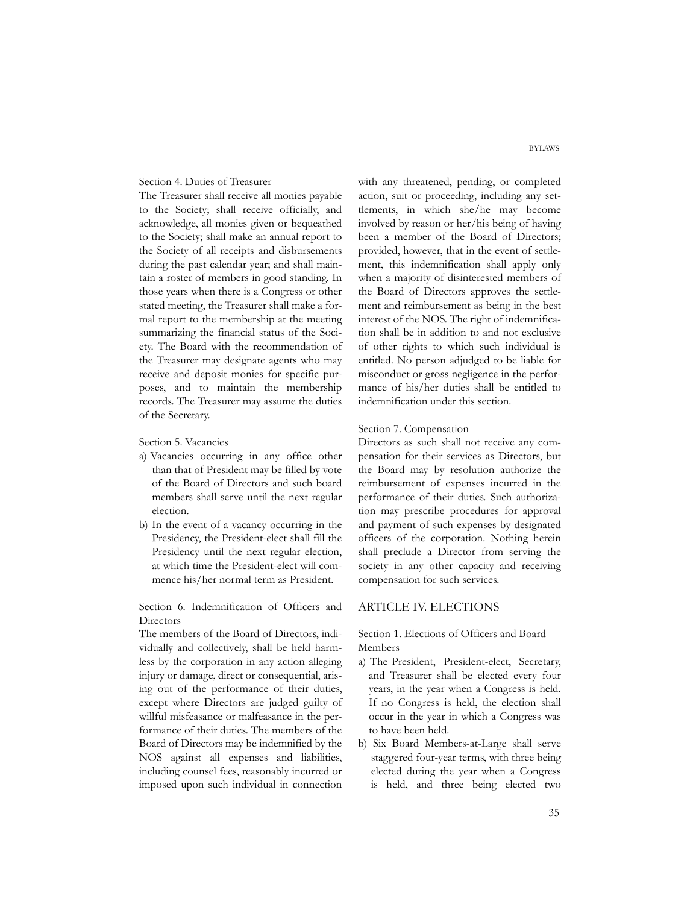## Section 4. Duties of Treasurer

The Treasurer shall receive all monies payable to the Society; shall receive officially, and acknowledge, all monies given or bequeathed to the Society; shall make an annual report to the Society of all receipts and disbursements during the past calendar year; and shall maintain a roster of members in good standing. In those years when there is a Congress or other stated meeting, the Treasurer shall make a formal report to the membership at the meeting summarizing the financial status of the Society. The Board with the recommendation of the Treasurer may designate agents who may receive and deposit monies for specific purposes, and to maintain the membership records. The Treasurer may assume the duties of the Secretary.

Section 5. Vacancies

- a) Vacancies occurring in any office other than that of President may be filled by vote of the Board of Directors and such board members shall serve until the next regular election.
- b) In the event of a vacancy occurring in the Presidency, the President-elect shall fill the Presidency until the next regular election, at which time the President-elect will commence his/her normal term as President.

Section 6. Indemnification of Officers and **Directors** 

The members of the Board of Directors, individually and collectively, shall be held harmless by the corporation in any action alleging injury or damage, direct or consequential, arising out of the performance of their duties, except where Directors are judged guilty of willful misfeasance or malfeasance in the performance of their duties. The members of the Board of Directors may be indemnified by the NOS against all expenses and liabilities, including counsel fees, reasonably incurred or imposed upon such individual in connection

with any threatened, pending, or completed action, suit or proceeding, including any settlements, in which she/he may become involved by reason or her/his being of having been a member of the Board of Directors; provided, however, that in the event of settlement, this indemnification shall apply only when a majority of disinterested members of the Board of Directors approves the settlement and reimbursement as being in the best interest of the NOS. The right of indemnification shall be in addition to and not exclusive of other rights to which such individual is entitled. No person adjudged to be liable for misconduct or gross negligence in the performance of his/her duties shall be entitled to indemnification under this section.

### Section 7. Compensation

Directors as such shall not receive any compensation for their services as Directors, but the Board may by resolution authorize the reimbursement of expenses incurred in the performance of their duties. Such authorization may prescribe procedures for approval and payment of such expenses by designated officers of the corporation. Nothing herein shall preclude a Director from serving the society in any other capacity and receiving compensation for such services.

#### ARTICLE IV. ELECTIONS

Section 1. Elections of Officers and Board Members

- a) The President, President-elect, Secretary, and Treasurer shall be elected every four years, in the year when a Congress is held. If no Congress is held, the election shall occur in the year in which a Congress was to have been held.
- b) Six Board Members-at-Large shall serve staggered four-year terms, with three being elected during the year when a Congress is held, and three being elected two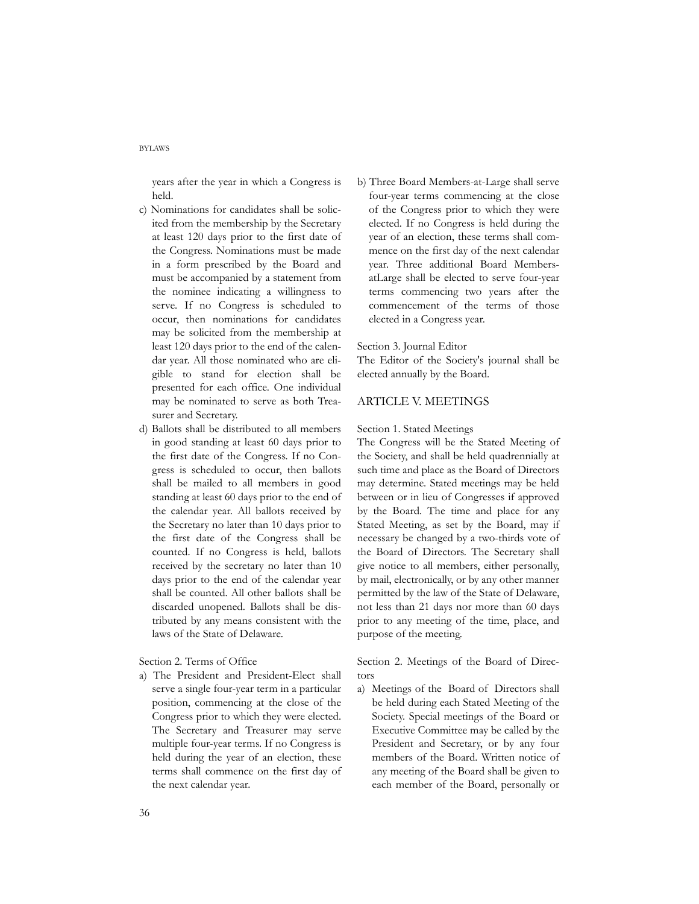years after the year in which a Congress is held.

- c) Nominations for candidates shall be solicited from the membership by the Secretary at least 120 days prior to the first date of the Congress. Nominations must be made in a form prescribed by the Board and must be accompanied by a statement from the nominee indicating a willingness to serve. If no Congress is scheduled to occur, then nominations for candidates may be solicited from the membership at least 120 days prior to the end of the calendar year. All those nominated who are eligible to stand for election shall be presented for each office. One individual may be nominated to serve as both Treasurer and Secretary.
- d) Ballots shall be distributed to all members in good standing at least 60 days prior to the first date of the Congress. If no Congress is scheduled to occur, then ballots shall be mailed to all members in good standing at least 60 days prior to the end of the calendar year. All ballots received by the Secretary no later than 10 days prior to the first date of the Congress shall be counted. If no Congress is held, ballots received by the secretary no later than 10 days prior to the end of the calendar year shall be counted. All other ballots shall be discarded unopened. Ballots shall be distributed by any means consistent with the laws of the State of Delaware.

Section 2. Terms of Office

a) The President and President-Elect shall serve a single four-year term in a particular position, commencing at the close of the Congress prior to which they were elected. The Secretary and Treasurer may serve multiple four-year terms. If no Congress is held during the year of an election, these terms shall commence on the first day of the next calendar year.

b) Three Board Members-at-Large shall serve four-year terms commencing at the close of the Congress prior to which they were elected. If no Congress is held during the year of an election, these terms shall commence on the first day of the next calendar year. Three additional Board MembersatLarge shall be elected to serve four-year terms commencing two years after the commencement of the terms of those elected in a Congress year.

#### Section 3. Journal Editor

The Editor of the Society's journal shall be elected annually by the Board.

# ARTICLE V. MEETINGS

#### Section 1. Stated Meetings

The Congress will be the Stated Meeting of the Society, and shall be held quadrennially at such time and place as the Board of Directors may determine. Stated meetings may be held between or in lieu of Congresses if approved by the Board. The time and place for any Stated Meeting, as set by the Board, may if necessary be changed by a two-thirds vote of the Board of Directors. The Secretary shall give notice to all members, either personally, by mail, electronically, or by any other manner permitted by the law of the State of Delaware, not less than 21 days nor more than 60 days prior to any meeting of the time, place, and purpose of the meeting.

Section 2. Meetings of the Board of Directors

a) Meetings of the Board of Directors shall be held during each Stated Meeting of the Society. Special meetings of the Board or Executive Committee may be called by the President and Secretary, or by any four members of the Board. Written notice of any meeting of the Board shall be given to each member of the Board, personally or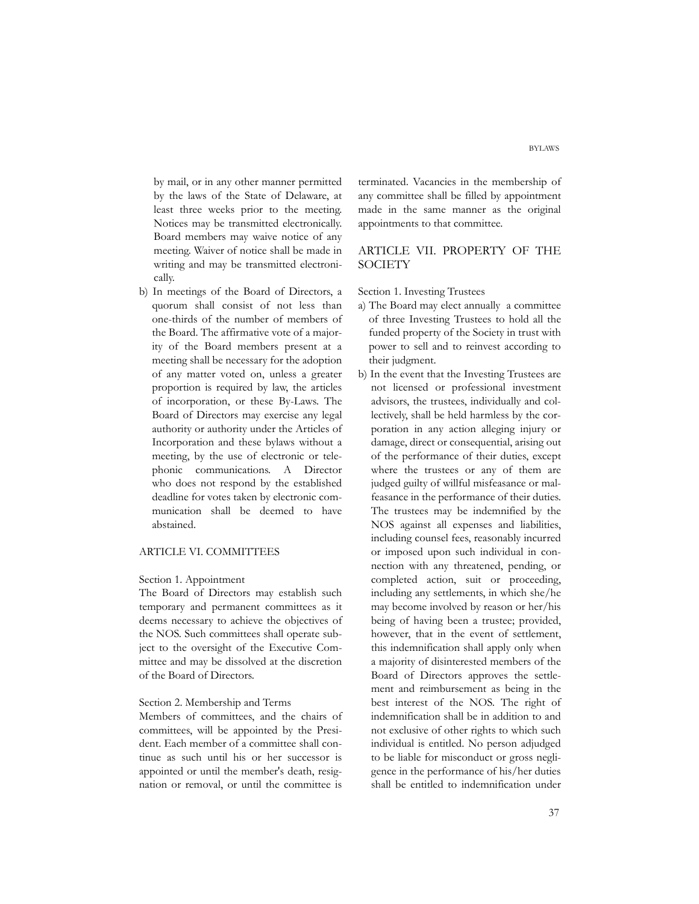by mail, or in any other manner permitted by the laws of the State of Delaware, at least three weeks prior to the meeting. Notices may be transmitted electronically. Board members may waive notice of any meeting. Waiver of notice shall be made in writing and may be transmitted electronically.

b) In meetings of the Board of Directors, a quorum shall consist of not less than one-thirds of the number of members of the Board. The affirmative vote of a majority of the Board members present at a meeting shall be necessary for the adoption of any matter voted on, unless a greater proportion is required by law, the articles of incorporation, or these By-Laws. The Board of Directors may exercise any legal authority or authority under the Articles of Incorporation and these bylaws without a meeting, by the use of electronic or telephonic communications. A Director who does not respond by the established deadline for votes taken by electronic communication shall be deemed to have abstained.

### ARTICLE VI. COMMITTEES

### Section 1. Appointment

The Board of Directors may establish such temporary and permanent committees as it deems necessary to achieve the objectives of the NOS. Such committees shall operate subject to the oversight of the Executive Committee and may be dissolved at the discretion of the Board of Directors.

#### Section 2. Membership and Terms

Members of committees, and the chairs of committees, will be appointed by the President. Each member of a committee shall continue as such until his or her successor is appointed or until the member's death, resignation or removal, or until the committee is terminated. Vacancies in the membership of any committee shall be filled by appointment made in the same manner as the original appointments to that committee.

### ARTICLE VII. PROPERTY OF THE **SOCIETY**

Section 1. Investing Trustees

- a) The Board may elect annually a committee of three Investing Trustees to hold all the funded property of the Society in trust with power to sell and to reinvest according to their judgment.
- b) In the event that the Investing Trustees are not licensed or professional investment advisors, the trustees, individually and collectively, shall be held harmless by the corporation in any action alleging injury or damage, direct or consequential, arising out of the performance of their duties, except where the trustees or any of them are judged guilty of willful misfeasance or malfeasance in the performance of their duties. The trustees may be indemnified by the NOS against all expenses and liabilities, including counsel fees, reasonably incurred or imposed upon such individual in connection with any threatened, pending, or completed action, suit or proceeding, including any settlements, in which she/he may become involved by reason or her/his being of having been a trustee; provided, however, that in the event of settlement, this indemnification shall apply only when a majority of disinterested members of the Board of Directors approves the settlement and reimbursement as being in the best interest of the NOS. The right of indemnification shall be in addition to and not exclusive of other rights to which such individual is entitled. No person adjudged to be liable for misconduct or gross negligence in the performance of his/her duties shall be entitled to indemnification under